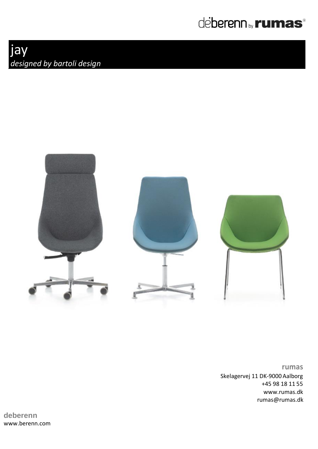



**rumas** Skelagervej 11 DK-9000 Aalborg +45 98 18 11 55 www.rumas.dk rumas@rumas.dk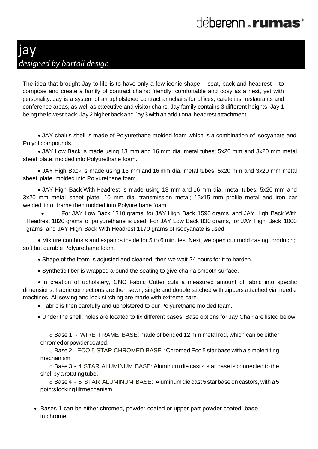The idea that brought Jay to life is to have only a few iconic shape – seat, back and headrest – to compose and create a family of contract chairs: friendly, comfortable and cosy as a nest, yet with personality. Jay is a system of an upholstered contract armchairs for offices, cafeterias, restaurants and conference areas, as well as executive and visitor chairs. Jay family contains 3 different heights. Jay 1 being the lowest back, Jay 2 higher back and Jay 3 with an additional headrest attachment.

• JAY chair's shell is made of Polyurethane molded foam which is a combination of Isocyanate and Polyol compounds.

• JAY Low Back is made using 13 mm and 16 mm dia. metal tubes; 5x20 mm and 3x20 mm metal sheet plate; molded into Polyurethane foam.

• JAY High Back is made using 13 mm and 16 mm dia. metal tubes; 5x20 mm and 3x20 mm metal sheet plate; molded into Polyurethane foam.

• JAY High Back With Headrest is made using 13 mm and 16 mm dia. metal tubes; 5x20 mm and 3x20 mm metal sheet plate; 10 mm dia. transmission metal; 15x15 mm profile metal and iron bar welded into frame then molded into Polyurethane foam

• For JAY Low Back 1310 grams, for JAY High Back 1590 grams and JAY High Back With Headrest 1820 grams of polyurethane is used. For JAY Low Back 830 grams, for JAY High Back 1000 grams and JAY High Back With Headrest 1170 grams of isocyanate is used.

• Mixture combusts and expands inside for 5 to 6 minutes. Next, we open our mold casing, producing soft but durable Polyurethane foam.

• Shape of the foam is adjusted and cleaned; then we wait 24 hours for it to harden.

• Synthetic fiber is wrapped around the seating to give chair a smooth surface.

• In creation of upholstery, CNC Fabric Cutter cuts a measured amount of fabric into specific dimensions. Fabric connections are then sewn, single and double stitched with zippers attached via needle machines. All sewing and lock stitching are made with extreme care.

• Fabric is then carefully and upholstered to our Polyurethane molded foam.

• Under the shell, holes are located to fix different bases. Base options for Jay Chair are listed below;

 $\circ$  Base 1 - WIRE FRAME BASE: made of bended 12 mm metal rod, which can be either chromedorpowdercoated.

o Base 2 - ECO 5 STAR CHROMED BASE : Chromed Eco 5 star base with a simple tilting mechanism

o Base 3 - 4 STAR ALUMINUM BASE: Aluminum die cast 4 star base is connected to the shellby a rotating tube.

o Base 4 - 5 STAR ALUMINUM BASE: Aluminum die cast 5 starbase on castors, with a 5 points locking tilt mechanism.

• Bases 1 can be either chromed, powder coated or upper part powder coated, base in chrome.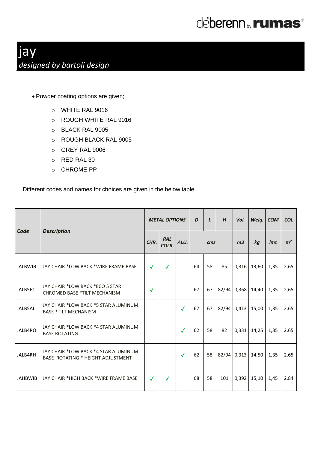

- Powder coating options are given;
	- o WHITE RAL 9016
	- o ROUGH WHITE RAL 9016
	- o BLACK RAL 9005
	- o ROUGH BLACK RAL 9005
	- o GREY RAL 9006
	- o RED RAL 30
	- o CHROME PP

Different codes and names for choices are given in the below table.

| Code           | <b>Description</b>                                                        | <b>METAL OPTIONS</b> |                     |              | D               | $\mathbf{L}$ | H   | Vol.           | Weig.             | <b>COM</b> | <b>COL</b>     |
|----------------|---------------------------------------------------------------------------|----------------------|---------------------|--------------|-----------------|--------------|-----|----------------|-------------------|------------|----------------|
|                |                                                                           | CHR.                 | <b>RAL</b><br>COLR. | ALU.         | $\mathbf{cm}$ s |              |     | m <sub>3</sub> | kg                | Imt        | m <sup>2</sup> |
| <b>JALBWIB</b> | JAY CHAIR *LOW BACK *WIRE FRAME BASE                                      | $\sqrt{}$            | $\checkmark$        |              | 64              | 58           | 85  | 0,316          | 13,60             | 1,35       | 2,65           |
| JALB5EC        | JAY CHAIR *LOW BACK *ECO 5 STAR<br><b>CHROMED BASE *TILT MECHANISM</b>    | $\checkmark$         |                     |              | 67              | 67           |     | 82/94 0,368    | 14,40             | 1,35       | 2,65           |
| JALB5AL        | JAY CHAIR *LOW BACK *5 STAR ALUMINUM<br><b>BASE *TILT MECHANISM</b>       |                      |                     | $\checkmark$ | 67              | 67           |     | 82/94 0,413    | 15,00             | 1,35       | 2,65           |
| JALB4RO        | JAY CHAIR *LOW BACK *4 STAR ALUMINUM<br><b>BASE ROTATING</b>              |                      |                     | $\checkmark$ | 62              | 58           | 82  |                | $0,331$ 14,25     | 1,35       | 2,65           |
| JALB4RH        | JAY CHAIR *LOW BACK *4 STAR ALUMINUM<br>BASE ROTATING * HEIGHT ADJUSTMENT |                      |                     | $\checkmark$ | 62              | 58           |     |                | 82/94 0,313 14,50 | 1,35       | 2,65           |
| <b>JAHBWIB</b> | JAY CHAIR *HIGH BACK *WIRE FRAME BASE                                     | $\checkmark$         | $\checkmark$        |              | 68              | 58           | 101 |                | $0,392$ 15,10     | 1,45       | 2,84           |